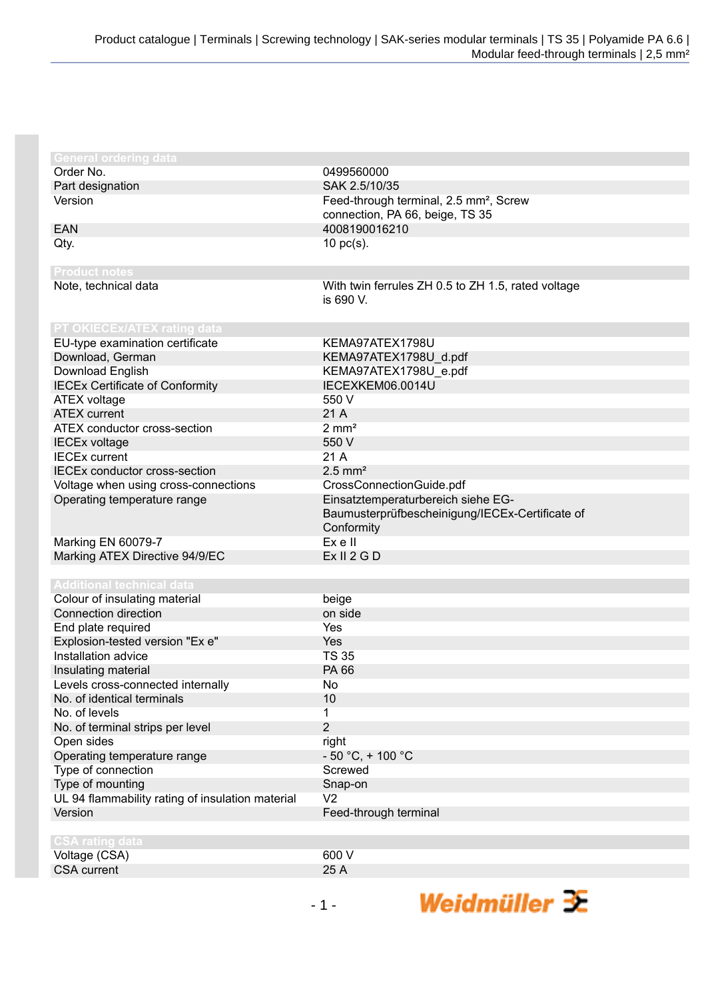| <b>General ordering data</b>                     |                                                    |
|--------------------------------------------------|----------------------------------------------------|
| Order No.                                        | 0499560000                                         |
| Part designation                                 | SAK 2.5/10/35                                      |
| Version                                          | Feed-through terminal, 2.5 mm <sup>2</sup> , Screw |
|                                                  | connection, PA 66, beige, TS 35                    |
| <b>EAN</b>                                       | 4008190016210                                      |
| Qty.                                             | $10$ pc(s).                                        |
|                                                  |                                                    |
| <b>Product notes</b>                             |                                                    |
| Note, technical data                             | With twin ferrules ZH 0.5 to ZH 1.5, rated voltage |
|                                                  | is 690 V.                                          |
|                                                  |                                                    |
| PT OKIECEx/ATEX rating data                      |                                                    |
| EU-type examination certificate                  | KEMA97ATEX1798U                                    |
| Download, German                                 | KEMA97ATEX1798U_d.pdf                              |
| Download English                                 | KEMA97ATEX1798U e.pdf                              |
| <b>IECEx Certificate of Conformity</b>           | IECEXKEM06.0014U                                   |
| <b>ATEX voltage</b>                              | 550 V                                              |
| <b>ATEX</b> current                              | 21 A                                               |
| ATEX conductor cross-section                     | $2 \, \text{mm}^2$                                 |
| <b>IECEx voltage</b>                             | 550 V                                              |
| <b>IECEx current</b>                             | 21 A                                               |
| <b>IECEx conductor cross-section</b>             | $2.5$ mm <sup>2</sup>                              |
| Voltage when using cross-connections             | CrossConnectionGuide.pdf                           |
| Operating temperature range                      | Einsatztemperaturbereich siehe EG-                 |
|                                                  | Baumusterprüfbescheinigung/IECEx-Certificate of    |
|                                                  | Conformity                                         |
| Marking EN 60079-7                               | Ex e II                                            |
| Marking ATEX Directive 94/9/EC                   | Ex II 2 G D                                        |
|                                                  |                                                    |
| <b>Additional technical data</b>                 |                                                    |
| Colour of insulating material                    | beige                                              |
| Connection direction                             | on side                                            |
| End plate required                               | Yes                                                |
| Explosion-tested version "Ex e"                  | Yes                                                |
| Installation advice                              | <b>TS 35</b>                                       |
| Insulating material                              | <b>PA 66</b>                                       |
| Levels cross-connected internally                | No                                                 |
| No. of identical terminals                       | 10                                                 |
| No. of levels                                    | 1                                                  |
| No. of terminal strips per level                 | $\overline{2}$                                     |
| Open sides                                       | right                                              |
| Operating temperature range                      | $-50 °C$ , + 100 °C                                |
| Type of connection                               | Screwed                                            |
| Type of mounting                                 | Snap-on                                            |
| UL 94 flammability rating of insulation material | V <sub>2</sub>                                     |
| Version                                          | Feed-through terminal                              |
|                                                  |                                                    |
| <b>CSA rating data</b>                           |                                                    |
| Voltage (CSA)                                    | 600 V                                              |
| <b>CSA</b> current                               | 25 A                                               |

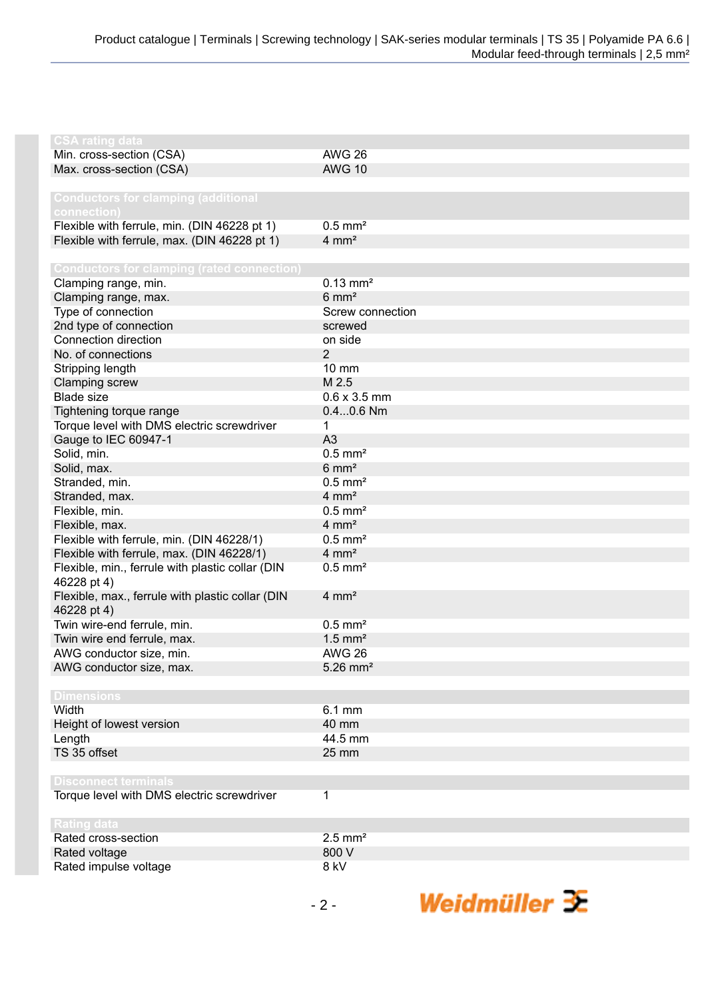| <b>CSA rating data</b>                                          |                        |
|-----------------------------------------------------------------|------------------------|
| Min. cross-section (CSA)                                        | <b>AWG 26</b>          |
| Max. cross-section (CSA)                                        | <b>AWG 10</b>          |
|                                                                 |                        |
| <b>Conductors for clamping (additional</b>                      |                        |
| connection)                                                     |                        |
| Flexible with ferrule, min. (DIN 46228 pt 1)                    | $0.5$ mm <sup>2</sup>  |
| Flexible with ferrule, max. (DIN 46228 pt 1)                    | $4 \, \text{mm}^2$     |
|                                                                 |                        |
| <b>Conductors for clamping (rated connection)</b>               |                        |
| Clamping range, min.                                            | $0.13$ mm <sup>2</sup> |
| Clamping range, max.                                            | $6 \text{ mm}^2$       |
| Type of connection                                              | Screw connection       |
| 2nd type of connection                                          | screwed                |
| Connection direction                                            | on side                |
| No. of connections                                              | $\overline{2}$         |
| Stripping length                                                | 10 mm                  |
| Clamping screw                                                  | M 2.5                  |
| <b>Blade size</b>                                               | $0.6 \times 3.5$ mm    |
| Tightening torque range                                         | $0.40.6$ Nm            |
| Torque level with DMS electric screwdriver                      | 1                      |
| Gauge to IEC 60947-1                                            | A <sub>3</sub>         |
| Solid, min.                                                     | $0.5$ mm <sup>2</sup>  |
| Solid, max.                                                     | $6 \text{ mm}^2$       |
| Stranded, min.                                                  | $0.5$ mm <sup>2</sup>  |
| Stranded, max.                                                  | $4 \, \text{mm}^2$     |
| Flexible, min.                                                  | $0.5$ mm <sup>2</sup>  |
| Flexible, max.                                                  | $4 \, \text{mm}^2$     |
| Flexible with ferrule, min. (DIN 46228/1)                       | $0.5$ mm <sup>2</sup>  |
| Flexible with ferrule, max. (DIN 46228/1)                       | $4 \, \text{mm}^2$     |
| Flexible, min., ferrule with plastic collar (DIN<br>46228 pt 4) | $0.5$ mm <sup>2</sup>  |
| Flexible, max., ferrule with plastic collar (DIN<br>46228 pt 4) | $4 \, \text{mm}^2$     |
| Twin wire-end ferrule, min.                                     | $0.5$ mm <sup>2</sup>  |
| Twin wire end ferrule, max.                                     | $1.5$ mm <sup>2</sup>  |
| AWG conductor size, min.                                        | <b>AWG 26</b>          |
| AWG conductor size, max.                                        | $5.26$ mm <sup>2</sup> |
|                                                                 |                        |
| <b>Dimensions</b>                                               |                        |
| Width                                                           | $6.1$ mm               |
| Height of lowest version                                        | 40 mm                  |
| Length                                                          | 44.5 mm                |
| TS 35 offset                                                    | 25 mm                  |
|                                                                 |                        |
| <b>Disconnect terminals</b>                                     |                        |
| Torque level with DMS electric screwdriver                      | 1                      |
|                                                                 |                        |
| <b>Rating data</b>                                              |                        |
| Rated cross-section                                             | $2.5$ mm <sup>2</sup>  |
| Rated voltage                                                   | 800 V                  |
| Rated impulse voltage                                           | 8 kV                   |
|                                                                 |                        |

Weidmüller 3E